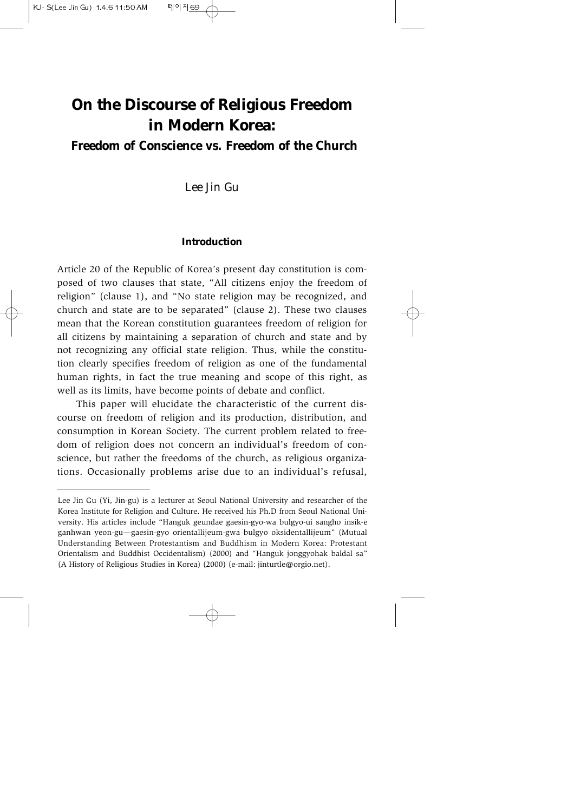# **On the Discourse of Religious Freedom in Modern Korea:**

# *Freedom of Conscience vs. Freedom of the Church*

*Lee Jin Gu*

#### **Introduction**

Article 20 of the Republic of Korea's present day constitution is composed of two clauses that state, "All citizens enjoy the freedom of religion" (clause 1), and "No state religion may be recognized, and church and state are to be separated" (clause 2). These two clauses mean that the Korean constitution guarantees freedom of religion for all citizens by maintaining a separation of church and state and by not recognizing any official state religion. Thus, while the constitution clearly specifies freedom of religion as one of the fundamental human rights, in fact the true meaning and scope of this right, as well as its limits, have become points of debate and conflict.

This paper will elucidate the characteristic of the current discourse on freedom of religion and its production, distribution, and consumption in Korean Society. The current problem related to freedom of religion does not concern an individual's freedom of conscience, but rather the freedoms of the church, as religious organizations. Occasionally problems arise due to an individual's refusal,

Lee Jin Gu (Yi, Jin-gu) is a lecturer at Seoul National University and researcher of the Korea Institute for Religion and Culture. He received his Ph.D from Seoul National University. His articles include "Hanguk geundae gaesin-gyo-wa bulgyo-ui sangho insik-e ganhwan yeon-gu—gaesin-gyo orientallijeum-gwa bulgyo oksidentallijeum" (Mutual Understanding Between Protestantism and Buddhism in Modern Korea: Protestant Orientalism and Buddhist Occidentalism) (2000) and "Hanguk jonggyohak baldal sa" (A History of Religious Studies in Korea) (2000) (e-mail: jinturtle@orgio.net).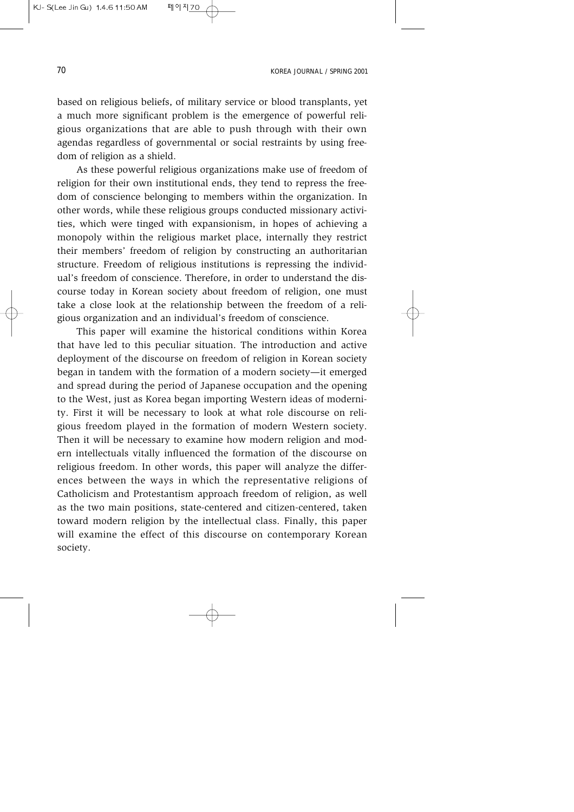based on religious beliefs, of military service or blood transplants, yet a much more significant problem is the emergence of powerful religious organizations that are able to push through with their own agendas regardless of governmental or social restraints by using freedom of religion as a shield.

As these powerful religious organizations make use of freedom of religion for their own institutional ends, they tend to repress the freedom of conscience belonging to members within the organization. In other words, while these religious groups conducted missionary activities, which were tinged with expansionism, in hopes of achieving a monopoly within the religious market place, internally they restrict their members' freedom of religion by constructing an authoritarian structure. Freedom of religious institutions is repressing the individual's freedom of conscience. Therefore, in order to understand the discourse today in Korean society about freedom of religion, one must take a close look at the relationship between the freedom of a religious organization and an individual's freedom of conscience.

This paper will examine the historical conditions within Korea that have led to this peculiar situation. The introduction and active deployment of the discourse on freedom of religion in Korean society began in tandem with the formation of a modern society—it emerged and spread during the period of Japanese occupation and the opening to the West, just as Korea began importing Western ideas of modernity. First it will be necessary to look at what role discourse on religious freedom played in the formation of modern Western society. Then it will be necessary to examine how modern religion and modern intellectuals vitally influenced the formation of the discourse on religious freedom. In other words, this paper will analyze the differences between the ways in which the representative religions of Catholicism and Protestantism approach freedom of religion, as well as the two main positions, state-centered and citizen-centered, taken toward modern religion by the intellectual class. Finally, this paper will examine the effect of this discourse on contemporary Korean society.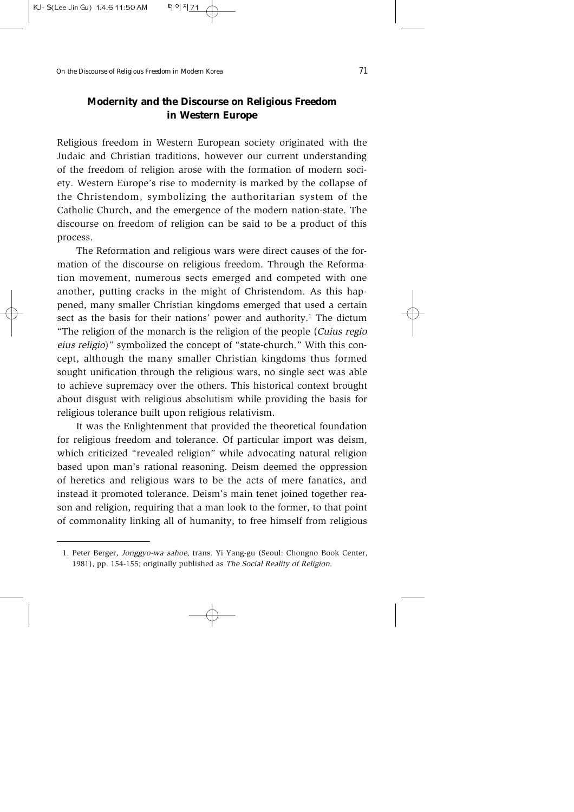# **Modernity and the Discourse on Religious Freedom in Western Europe**

Religious freedom in Western European society originated with the Judaic and Christian traditions, however our current understanding of the freedom of religion arose with the formation of modern society. Western Europe's rise to modernity is marked by the collapse of the Christendom, symbolizing the authoritarian system of the Catholic Church, and the emergence of the modern nation-state. The discourse on freedom of religion can be said to be a product of this process.

The Reformation and religious wars were direct causes of the formation of the discourse on religious freedom. Through the Reformation movement, numerous sects emerged and competed with one another, putting cracks in the might of Christendom. As this happened, many smaller Christian kingdoms emerged that used a certain sect as the basis for their nations' power and authority.<sup>1</sup> The dictum "The religion of the monarch is the religion of the people (Cuius regio eius religio)" symbolized the concept of "state-church." With this concept, although the many smaller Christian kingdoms thus formed sought unification through the religious wars, no single sect was able to achieve supremacy over the others. This historical context brought about disgust with religious absolutism while providing the basis for religious tolerance built upon religious relativism.

It was the Enlightenment that provided the theoretical foundation for religious freedom and tolerance. Of particular import was deism, which criticized "revealed religion" while advocating natural religion based upon man's rational reasoning. Deism deemed the oppression of heretics and religious wars to be the acts of mere fanatics, and instead it promoted tolerance. Deism's main tenet joined together reason and religion, requiring that a man look to the former, to that point of commonality linking all of humanity, to free himself from religious

<sup>1.</sup> Peter Berger, Jonggyo-wa sahoe, trans. Yi Yang-gu (Seoul: Chongno Book Center, 1981), pp. 154-155; originally published as The Social Reality of Religion.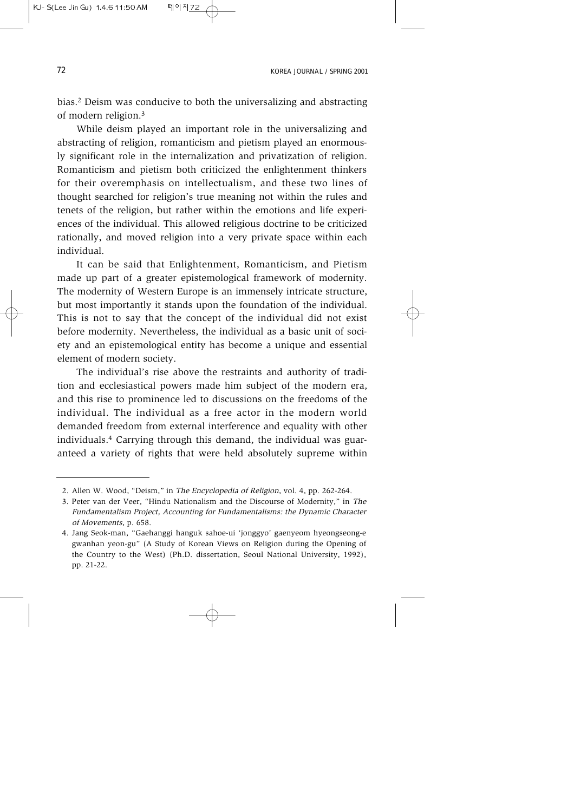bias.2 Deism was conducive to both the universalizing and abstracting of modern religion.3

While deism played an important role in the universalizing and abstracting of religion, romanticism and pietism played an enormously significant role in the internalization and privatization of religion. Romanticism and pietism both criticized the enlightenment thinkers for their overemphasis on intellectualism, and these two lines of thought searched for religion's true meaning not within the rules and tenets of the religion, but rather within the emotions and life experiences of the individual. This allowed religious doctrine to be criticized rationally, and moved religion into a very private space within each individual.

It can be said that Enlightenment, Romanticism, and Pietism made up part of a greater epistemological framework of modernity. The modernity of Western Europe is an immensely intricate structure, but most importantly it stands upon the foundation of the individual. This is not to say that the concept of the individual did not exist before modernity. Nevertheless, the individual as a basic unit of society and an epistemological entity has become a unique and essential element of modern society.

The individual's rise above the restraints and authority of tradition and ecclesiastical powers made him subject of the modern era, and this rise to prominence led to discussions on the freedoms of the individual. The individual as a free actor in the modern world demanded freedom from external interference and equality with other individuals.4 Carrying through this demand, the individual was guaranteed a variety of rights that were held absolutely supreme within

<sup>2.</sup> Allen W. Wood, "Deism," in The Encyclopedia of Religion, vol. 4, pp. 262-264.

<sup>3.</sup> Peter van der Veer, "Hindu Nationalism and the Discourse of Modernity," in The Fundamentalism Project, Accounting for Fundamentalisms: the Dynamic Character of Movements, p. 658.

<sup>4.</sup> Jang Seok-man, "Gaehanggi hanguk sahoe-ui 'jonggyo' gaenyeom hyeongseong-e gwanhan yeon-gu" (A Study of Korean Views on Religion during the Opening of the Country to the West) (Ph.D. dissertation, Seoul National University, 1992), pp. 21-22.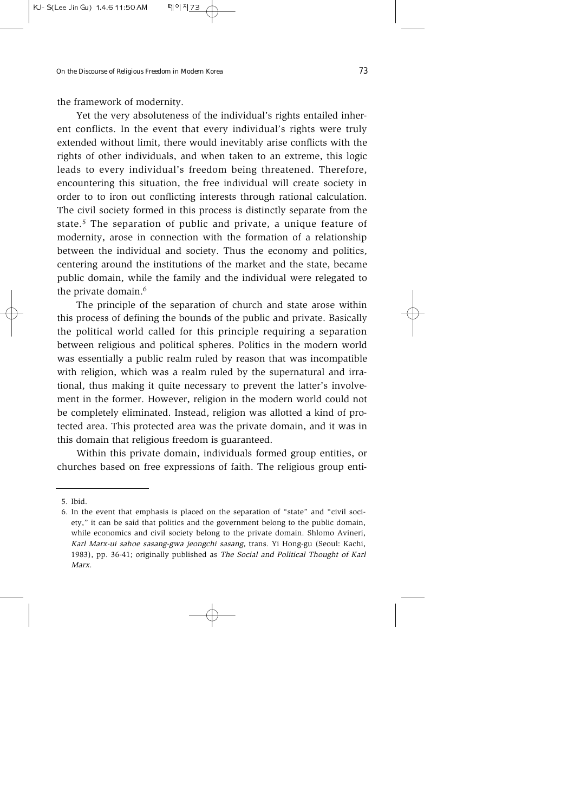the framework of modernity.

Yet the very absoluteness of the individual's rights entailed inherent conflicts. In the event that every individual's rights were truly extended without limit, there would inevitably arise conflicts with the rights of other individuals, and when taken to an extreme, this logic leads to every individual's freedom being threatened. Therefore, encountering this situation, the free individual will create society in order to to iron out conflicting interests through rational calculation. The civil society formed in this process is distinctly separate from the state.5 The separation of public and private, a unique feature of modernity, arose in connection with the formation of a relationship between the individual and society. Thus the economy and politics, centering around the institutions of the market and the state, became public domain, while the family and the individual were relegated to the private domain.<sup>6</sup>

The principle of the separation of church and state arose within this process of defining the bounds of the public and private. Basically the political world called for this principle requiring a separation between religious and political spheres. Politics in the modern world was essentially a public realm ruled by reason that was incompatible with religion, which was a realm ruled by the supernatural and irrational, thus making it quite necessary to prevent the latter's involvement in the former. However, religion in the modern world could not be completely eliminated. Instead, religion was allotted a kind of protected area. This protected area was the private domain, and it was in this domain that religious freedom is guaranteed.

Within this private domain, individuals formed group entities, or churches based on free expressions of faith. The religious group enti-

<sup>5.</sup> Ibid.

<sup>6.</sup> In the event that emphasis is placed on the separation of "state" and "civil society," it can be said that politics and the government belong to the public domain, while economics and civil society belong to the private domain. Shlomo Avineri, Karl Marx-ui sahoe sasang-gwa jeongchi sasang, trans. Yi Hong-gu (Seoul: Kachi, 1983), pp. 36-41; originally published as The Social and Political Thought of Karl Marx.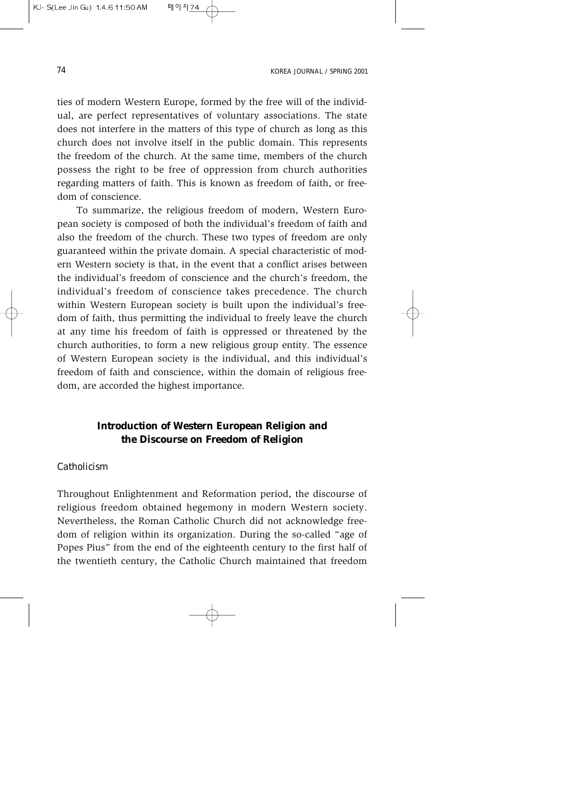ties of modern Western Europe, formed by the free will of the individual, are perfect representatives of voluntary associations. The state does not interfere in the matters of this type of church as long as this church does not involve itself in the public domain. This represents the freedom of the church. At the same time, members of the church possess the right to be free of oppression from church authorities regarding matters of faith. This is known as freedom of faith, or freedom of conscience.

To summarize, the religious freedom of modern, Western European society is composed of both the individual's freedom of faith and also the freedom of the church. These two types of freedom are only guaranteed within the private domain. A special characteristic of modern Western society is that, in the event that a conflict arises between the individual's freedom of conscience and the church's freedom, the individual's freedom of conscience takes precedence. The church within Western European society is built upon the individual's freedom of faith, thus permitting the individual to freely leave the church at any time his freedom of faith is oppressed or threatened by the church authorities, to form a new religious group entity. The essence of Western European society is the individual, and this individual's freedom of faith and conscience, within the domain of religious freedom, are accorded the highest importance.

# **Introduction of Western European Religion and the Discourse on Freedom of Religion**

#### *Catholicism*

Throughout Enlightenment and Reformation period, the discourse of religious freedom obtained hegemony in modern Western society. Nevertheless, the Roman Catholic Church did not acknowledge freedom of religion within its organization. During the so-called "age of Popes Pius" from the end of the eighteenth century to the first half of the twentieth century, the Catholic Church maintained that freedom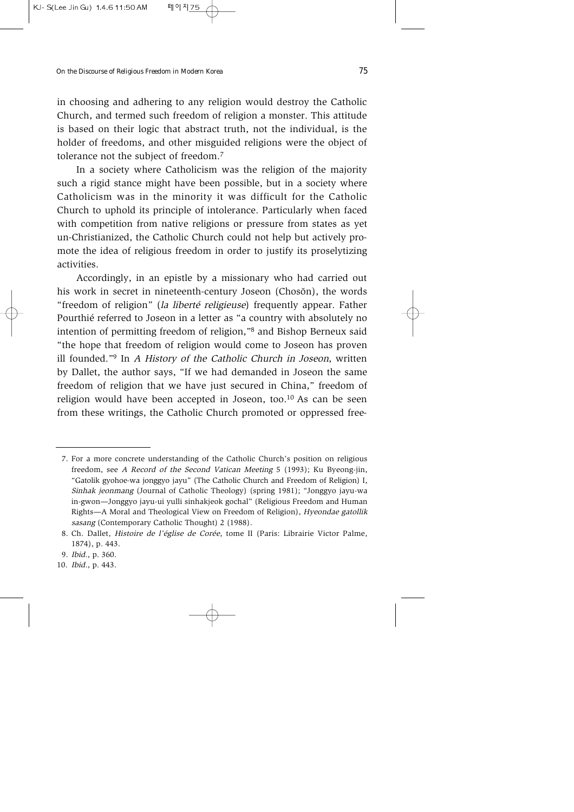in choosing and adhering to any religion would destroy the Catholic Church, and termed such freedom of religion a monster. This attitude is based on their logic that abstract truth, not the individual, is the holder of freedoms, and other misguided religions were the object of tolerance not the subject of freedom.<sup>7</sup>

In a society where Catholicism was the religion of the majority such a rigid stance might have been possible, but in a society where Catholicism was in the minority it was difficult for the Catholic Church to uphold its principle of intolerance. Particularly when faced with competition from native religions or pressure from states as yet un-Christianized, the Catholic Church could not help but actively promote the idea of religious freedom in order to justify its proselytizing activities.

Accordingly, in an epistle by a missionary who had carried out his work in secret in nineteenth-century Joseon (Chosŏn), the words "freedom of religion" (la liberté religieuse) frequently appear. Father Pourthié referred to Joseon in a letter as "a country with absolutely no intention of permitting freedom of religion,"8 and Bishop Berneux said "the hope that freedom of religion would come to Joseon has proven ill founded."<sup>9</sup> In A History of the Catholic Church in Joseon, written by Dallet, the author says, "If we had demanded in Joseon the same freedom of religion that we have just secured in China," freedom of religion would have been accepted in Joseon, too. $10$  As can be seen from these writings, the Catholic Church promoted or oppressed free-

<sup>7.</sup> For a more concrete understanding of the Catholic Church's position on religious freedom, see A Record of the Second Vatican Meeting 5 (1993); Ku Byeong-jin, "Gatolik gyohoe-wa jonggyo jayu" (The Catholic Church and Freedom of Religion) I, Sinhak jeonmang (Journal of Catholic Theology) (spring 1981); "Jonggyo jayu-wa in-gwon—Jonggyo jayu-ui yulli sinhakjeok gochal" (Religious Freedom and Human Rights—A Moral and Theological View on Freedom of Religion), Hyeondae gatollik sasang (Contemporary Catholic Thought) 2 (1988).

<sup>8.</sup> Ch. Dallet, Histoire de l'église de Corée, tome II (Paris: Librairie Victor Palme, 1874), p. 443.

<sup>9.</sup> Ibid., p. 360.

<sup>10.</sup> Ibid., p. 443.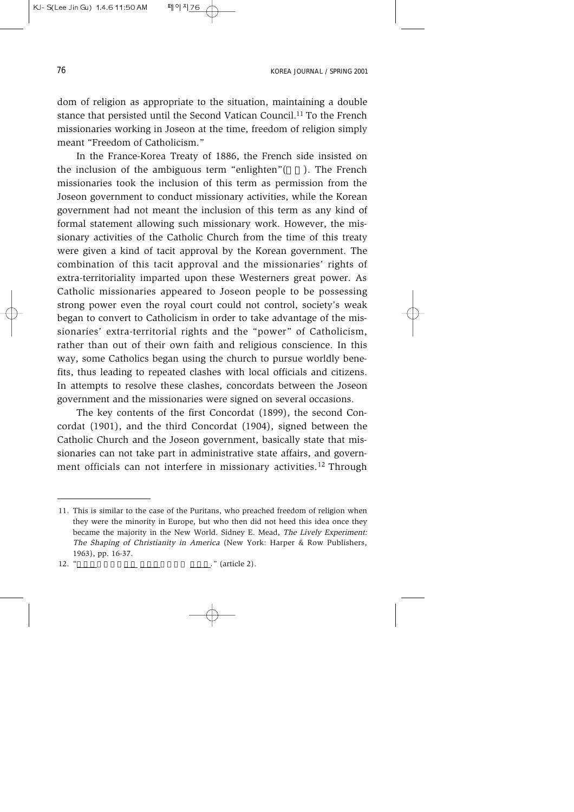dom of religion as appropriate to the situation, maintaining a double stance that persisted until the Second Vatican Council.<sup>11</sup> To the French missionaries working in Joseon at the time, freedom of religion simply meant "Freedom of Catholicism"

In the France-Korea Treaty of 1886, the French side insisted on the inclusion of the ambiguous term "enlighten" $($  ). The French missionaries took the inclusion of this term as permission from the Joseon government to conduct missionary activities, while the Korean government had not meant the inclusion of this term as any kind of formal statement allowing such missionary work. However, the missionary activities of the Catholic Church from the time of this treaty were given a kind of tacit approval by the Korean government. The combination of this tacit approval and the missionaries' rights of extra-territoriality imparted upon these Westerners great power. As Catholic missionaries appeared to Joseon people to be possessing strong power even the royal court could not control, society's weak began to convert to Catholicism in order to take advantage of the missionaries' extra-territorial rights and the "power" of Catholicism, rather than out of their own faith and religious conscience. In this way, some Catholics began using the church to pursue worldly benefits, thus leading to repeated clashes with local officials and citizens. In attempts to resolve these clashes, concordats between the Joseon government and the missionaries were signed on several occasions.

The key contents of the first Concordat (1899), the second Concordat (1901), and the third Concordat (1904), signed between the Catholic Church and the Joseon government, basically state that missionaries can not take part in administrative state affairs, and government officials can not interfere in missionary activities.<sup>12</sup> Through

<sup>11.</sup> This is similar to the case of the Puritans, who preached freedom of religion when they were the minority in Europe, but who then did not heed this idea once they became the majority in the New World. Sidney E. Mead, The Lively Experiment: The Shaping of Christianity in America (New York: Harper & Row Publishers, 1963), pp. 16-37.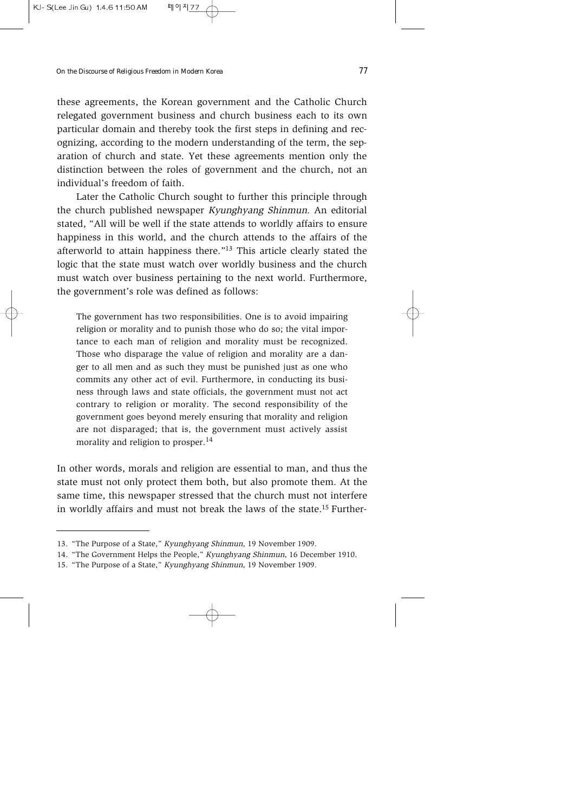these agreements, the Korean government and the Catholic Church relegated government business and church business each to its own particular domain and thereby took the first steps in defining and recognizing, according to the modern understanding of the term, the separation of church and state. Yet these agreements mention only the distinction between the roles of government and the church, not an individual's freedom of faith.

Later the Catholic Church sought to further this principle through the church published newspaper Kyunghyang Shinmun. An editorial stated, "All will be well if the state attends to worldly affairs to ensure happiness in this world, and the church attends to the affairs of the afterworld to attain happiness there."13 This article clearly stated the logic that the state must watch over worldly business and the church must watch over business pertaining to the next world. Furthermore, the government's role was defined as follows:

The government has two responsibilities. One is to avoid impairing religion or morality and to punish those who do so; the vital importance to each man of religion and morality must be recognized. Those who disparage the value of religion and morality are a danger to all men and as such they must be punished just as one who commits any other act of evil. Furthermore, in conducting its business through laws and state officials, the government must not act contrary to religion or morality. The second responsibility of the government goes beyond merely ensuring that morality and religion are not disparaged; that is, the government must actively assist morality and religion to prosper.<sup>14</sup>

In other words, morals and religion are essential to man, and thus the state must not only protect them both, but also promote them. At the same time, this newspaper stressed that the church must not interfere in worldly affairs and must not break the laws of the state.15 Further-

<sup>13. &</sup>quot;The Purpose of a State," Kyunghyang Shinmun, 19 November 1909.

<sup>14. &</sup>quot;The Government Helps the People," Kyunghyang Shinmun, 16 December 1910.

<sup>15. &</sup>quot;The Purpose of a State," Kyunghyang Shinmun, 19 November 1909.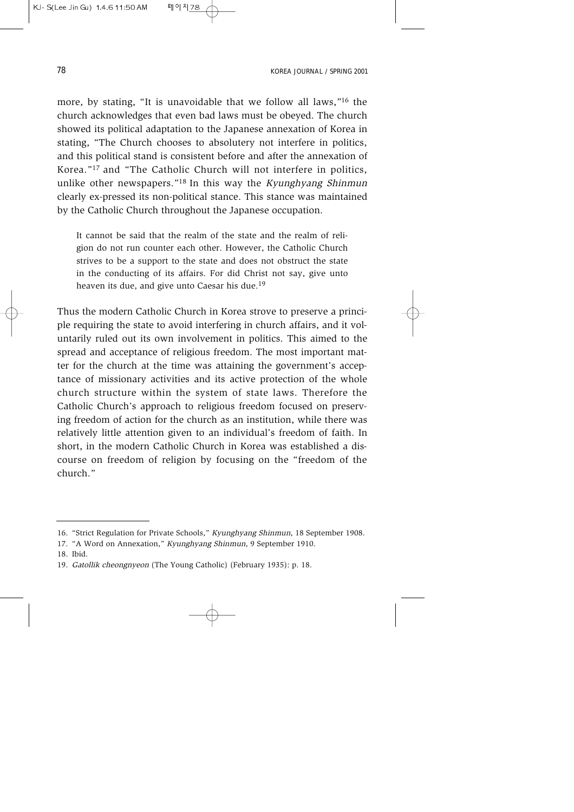more, by stating, "It is unavoidable that we follow all laws,"16 the church acknowledges that even bad laws must be obeyed. The church showed its political adaptation to the Japanese annexation of Korea in stating, "The Church chooses to absolutery not interfere in politics, and this political stand is consistent before and after the annexation of Korea."17 and "The Catholic Church will not interfere in politics, unlike other newspapers."<sup>18</sup> In this way the *Kyunghyang Shinmun* clearly ex-pressed its non-political stance. This stance was maintained by the Catholic Church throughout the Japanese occupation.

It cannot be said that the realm of the state and the realm of religion do not run counter each other. However, the Catholic Church strives to be a support to the state and does not obstruct the state in the conducting of its affairs. For did Christ not say, give unto heaven its due, and give unto Caesar his due.<sup>19</sup>

Thus the modern Catholic Church in Korea strove to preserve a principle requiring the state to avoid interfering in church affairs, and it voluntarily ruled out its own involvement in politics. This aimed to the spread and acceptance of religious freedom. The most important matter for the church at the time was attaining the government's acceptance of missionary activities and its active protection of the whole church structure within the system of state laws. Therefore the Catholic Church's approach to religious freedom focused on preserving freedom of action for the church as an institution, while there was relatively little attention given to an individual's freedom of faith. In short, in the modern Catholic Church in Korea was established a discourse on freedom of religion by focusing on the "freedom of the church."

<sup>16. &</sup>quot;Strict Regulation for Private Schools," Kyunghyang Shinmun, 18 September 1908.

<sup>17. &</sup>quot;A Word on Annexation," Kyunghyang Shinmun, 9 September 1910.

<sup>18.</sup> Ibid.

<sup>19.</sup> Gatollik cheongnyeon (The Young Catholic) (February 1935): p. 18.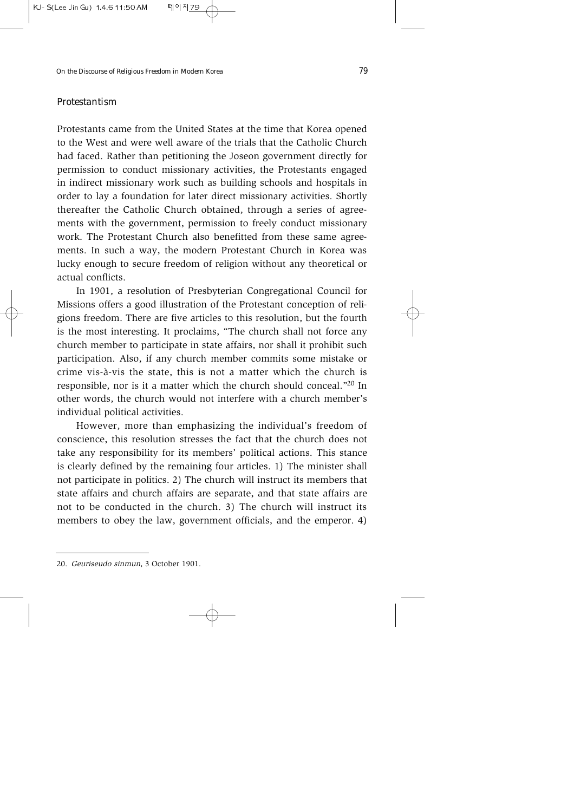#### *Protestantism*

Protestants came from the United States at the time that Korea opened to the West and were well aware of the trials that the Catholic Church had faced. Rather than petitioning the Joseon government directly for permission to conduct missionary activities, the Protestants engaged in indirect missionary work such as building schools and hospitals in order to lay a foundation for later direct missionary activities. Shortly thereafter the Catholic Church obtained, through a series of agreements with the government, permission to freely conduct missionary work. The Protestant Church also benefitted from these same agreements. In such a way, the modern Protestant Church in Korea was lucky enough to secure freedom of religion without any theoretical or actual conflicts.

In 1901, a resolution of Presbyterian Congregational Council for Missions offers a good illustration of the Protestant conception of religions freedom. There are five articles to this resolution, but the fourth is the most interesting. It proclaims, "The church shall not force any church member to participate in state affairs, nor shall it prohibit such participation. Also, if any church member commits some mistake or crime vis-à-vis the state, this is not a matter which the church is responsible, nor is it a matter which the church should conceal."20 In other words, the church would not interfere with a church member's individual political activities.

However, more than emphasizing the individual's freedom of conscience, this resolution stresses the fact that the church does not take any responsibility for its members' political actions. This stance is clearly defined by the remaining four articles. 1) The minister shall not participate in politics. 2) The church will instruct its members that state affairs and church affairs are separate, and that state affairs are not to be conducted in the church. 3) The church will instruct its members to obey the law, government officials, and the emperor. 4)

<sup>20.</sup> Geuriseudo sinmun, 3 October 1901.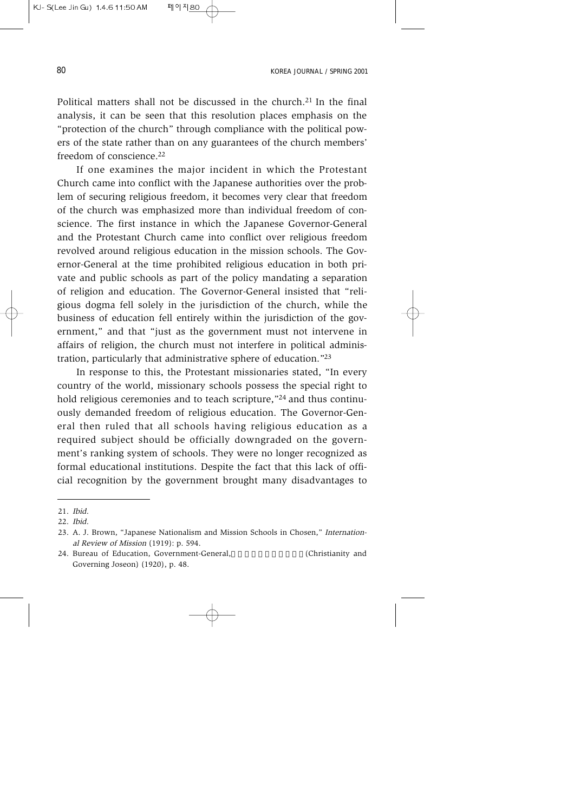Political matters shall not be discussed in the church.21 In the final analysis, it can be seen that this resolution places emphasis on the "protection of the church" through compliance with the political powers of the state rather than on any guarantees of the church members' freedom of conscience.22

If one examines the major incident in which the Protestant Church came into conflict with the Japanese authorities over the problem of securing religious freedom, it becomes very clear that freedom of the church was emphasized more than individual freedom of conscience. The first instance in which the Japanese Governor-General and the Protestant Church came into conflict over religious freedom revolved around religious education in the mission schools. The Governor-General at the time prohibited religious education in both private and public schools as part of the policy mandating a separation of religion and education. The Governor-General insisted that "religious dogma fell solely in the jurisdiction of the church, while the business of education fell entirely within the jurisdiction of the government," and that "just as the government must not intervene in affairs of religion, the church must not interfere in political administration, particularly that administrative sphere of education."23

In response to this, the Protestant missionaries stated, "In every country of the world, missionary schools possess the special right to hold religious ceremonies and to teach scripture,"<sup>24</sup> and thus continuously demanded freedom of religious education. The Governor-General then ruled that all schools having religious education as a required subject should be officially downgraded on the government's ranking system of schools. They were no longer recognized as formal educational institutions. Despite the fact that this lack of official recognition by the government brought many disadvantages to

<sup>21.</sup> Ibid.

<sup>22.</sup> Ibid.

<sup>23.</sup> A. J. Brown, "Japanese Nationalism and Mission Schools in Chosen," International Review of Mission (1919): p. 594.

<sup>24.</sup> Bureau of Education, Government-General, **Fig. 24. Bureau of Education**, Government-General, **[**[Christianity and Governing Joseon) (1920), p. 48.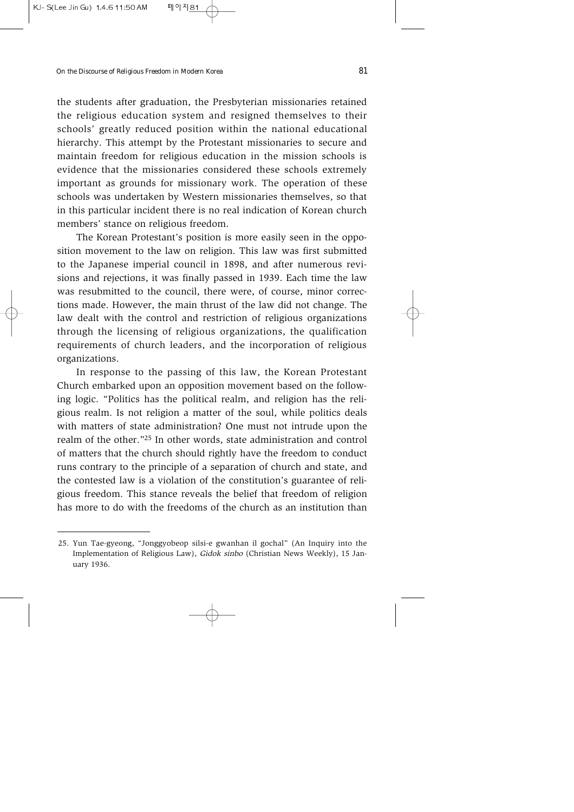the students after graduation, the Presbyterian missionaries retained the religious education system and resigned themselves to their schools' greatly reduced position within the national educational hierarchy. This attempt by the Protestant missionaries to secure and maintain freedom for religious education in the mission schools is evidence that the missionaries considered these schools extremely important as grounds for missionary work. The operation of these schools was undertaken by Western missionaries themselves, so that in this particular incident there is no real indication of Korean church members' stance on religious freedom.

The Korean Protestant's position is more easily seen in the opposition movement to the law on religion. This law was first submitted to the Japanese imperial council in 1898, and after numerous revisions and rejections, it was finally passed in 1939. Each time the law was resubmitted to the council, there were, of course, minor corrections made. However, the main thrust of the law did not change. The law dealt with the control and restriction of religious organizations through the licensing of religious organizations, the qualification requirements of church leaders, and the incorporation of religious organizations.

In response to the passing of this law, the Korean Protestant Church embarked upon an opposition movement based on the following logic. "Politics has the political realm, and religion has the religious realm. Is not religion a matter of the soul, while politics deals with matters of state administration? One must not intrude upon the realm of the other."25 In other words, state administration and control of matters that the church should rightly have the freedom to conduct runs contrary to the principle of a separation of church and state, and the contested law is a violation of the constitution's guarantee of religious freedom. This stance reveals the belief that freedom of religion has more to do with the freedoms of the church as an institution than

<sup>25.</sup> Yun Tae-gyeong, "Jonggyobeop silsi-e gwanhan il gochal" (An Inquiry into the Implementation of Religious Law), Gidok sinbo (Christian News Weekly), 15 January 1936.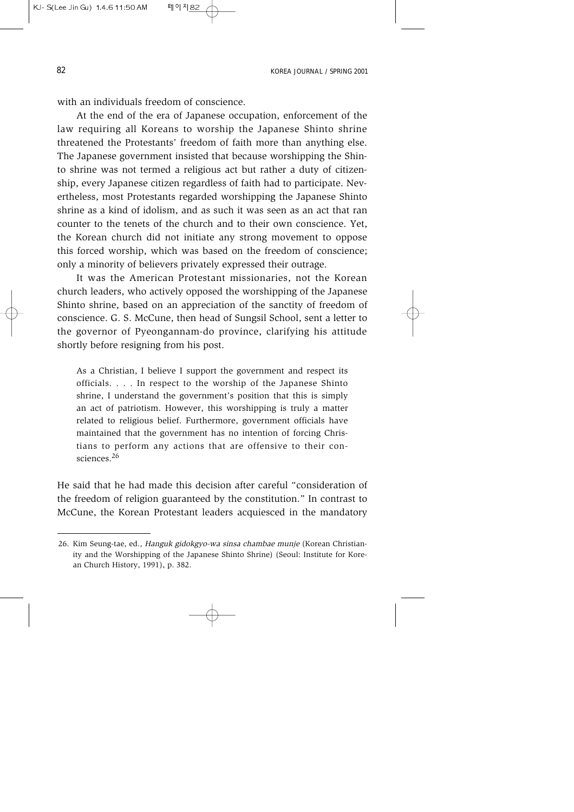with an individuals freedom of conscience

At the end of the era of Japanese occupation, enforcement of the law requiring all Koreans to worship the Japanese Shinto shrine threatened the Protestants' freedom of faith more than anything else. The Japanese government insisted that because worshipping the Shinto shrine was not termed a religious act but rather a duty of citizenship, every Japanese citizen regardless of faith had to participate. Nevertheless, most Protestants regarded worshipping the Japanese Shinto shrine as a kind of idolism, and as such it was seen as an act that ran counter to the tenets of the church and to their own conscience. Yet, the Korean church did not initiate any strong movement to oppose this forced worship, which was based on the freedom of conscience; only a minority of believers privately expressed their outrage.

It was the American Protestant missionaries, not the Korean church leaders, who actively opposed the worshipping of the Japanese Shinto shrine, based on an appreciation of the sanctity of freedom of conscience. G. S. McCune, then head of Sungsil School, sent a letter to the governor of Pyeongannam-do province, clarifying his attitude shortly before resigning from his post.

As a Christian, I believe I support the government and respect its officials. . . . In respect to the worship of the Japanese Shinto shrine, I understand the government's position that this is simply an act of patriotism. However, this worshipping is truly a matter related to religious belief. Furthermore, government officials have maintained that the government has no intention of forcing Christians to perform any actions that are offensive to their consciences.<sup>26</sup>

He said that he had made this decision after careful "consideration of the freedom of religion guaranteed by the constitution." In contrast to McCune, the Korean Protestant leaders acquiesced in the mandatory

<sup>26.</sup> Kim Seung-tae, ed., Hanguk gidokgyo-wa sinsa chambae munje (Korean Christianity and the Worshipping of the Japanese Shinto Shrine) (Seoul: Institute for Korean Church History, 1991), p. 382.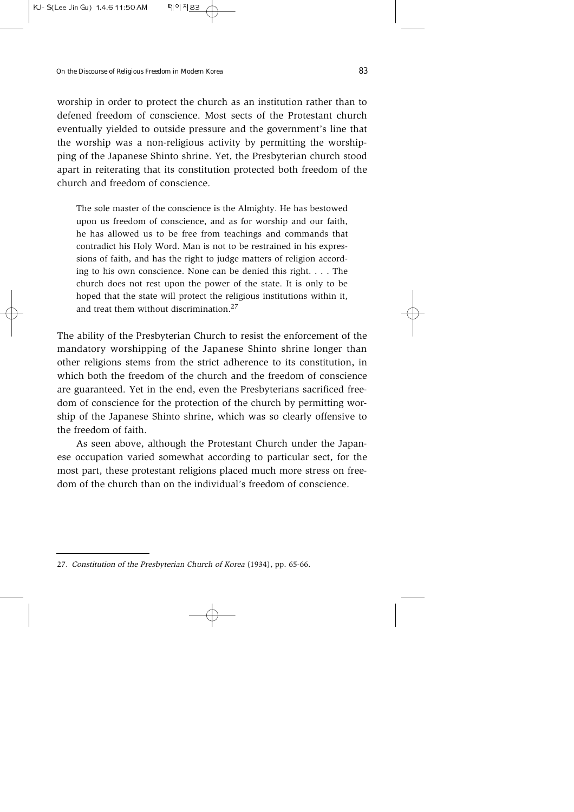worship in order to protect the church as an institution rather than to defened freedom of conscience. Most sects of the Protestant church eventually yielded to outside pressure and the government's line that the worship was a non-religious activity by permitting the worshipping of the Japanese Shinto shrine. Yet, the Presbyterian church stood apart in reiterating that its constitution protected both freedom of the church and freedom of conscience.

The sole master of the conscience is the Almighty. He has bestowed upon us freedom of conscience, and as for worship and our faith, he has allowed us to be free from teachings and commands that contradict his Holy Word. Man is not to be restrained in his expressions of faith, and has the right to judge matters of religion according to his own conscience. None can be denied this right. . . . The church does not rest upon the power of the state. It is only to be hoped that the state will protect the religious institutions within it, and treat them without discrimination.<sup>27</sup>

The ability of the Presbyterian Church to resist the enforcement of the mandatory worshipping of the Japanese Shinto shrine longer than other religions stems from the strict adherence to its constitution, in which both the freedom of the church and the freedom of conscience are guaranteed. Yet in the end, even the Presbyterians sacrificed freedom of conscience for the protection of the church by permitting worship of the Japanese Shinto shrine, which was so clearly offensive to the freedom of faith.

As seen above, although the Protestant Church under the Japanese occupation varied somewhat according to particular sect, for the most part, these protestant religions placed much more stress on freedom of the church than on the individual's freedom of conscience.

<sup>27.</sup> Constitution of the Presbyterian Church of Korea (1934), pp. 65-66.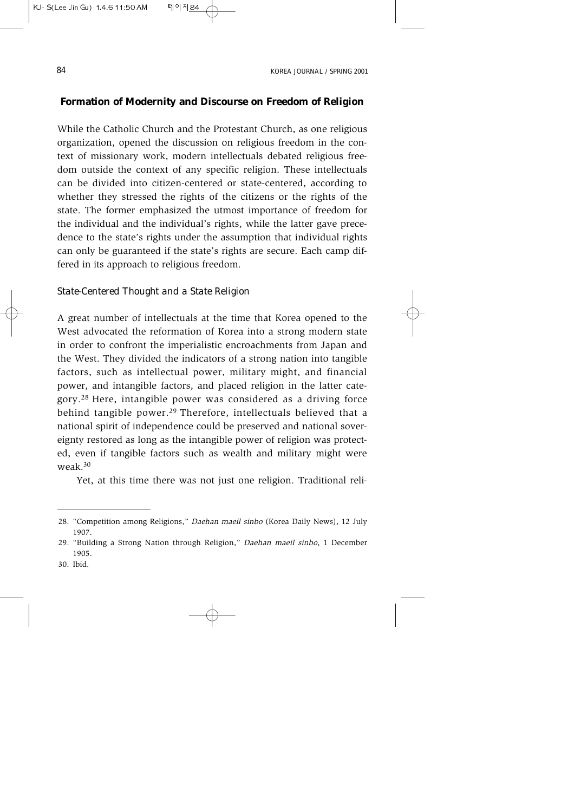## **Formation of Modernity and Discourse on Freedom of Religion**

While the Catholic Church and the Protestant Church, as one religious organization, opened the discussion on religious freedom in the context of missionary work, modern intellectuals debated religious freedom outside the context of any specific religion. These intellectuals can be divided into citizen-centered or state-centered, according to whether they stressed the rights of the citizens or the rights of the state. The former emphasized the utmost importance of freedom for the individual and the individual's rights, while the latter gave precedence to the state's rights under the assumption that individual rights can only be guaranteed if the state's rights are secure. Each camp differed in its approach to religious freedom.

### *State-Centered Thought and a State Religion*

A great number of intellectuals at the time that Korea opened to the West advocated the reformation of Korea into a strong modern state in order to confront the imperialistic encroachments from Japan and the West. They divided the indicators of a strong nation into tangible factors, such as intellectual power, military might, and financial power, and intangible factors, and placed religion in the latter category.28 Here, intangible power was considered as a driving force behind tangible power.<sup>29</sup> Therefore, intellectuals believed that a national spirit of independence could be preserved and national sovereignty restored as long as the intangible power of religion was protected, even if tangible factors such as wealth and military might were weak.30

Yet, at this time there was not just one religion. Traditional reli-

30. Ibid.

<sup>28. &</sup>quot;Competition among Religions," Daehan maeil sinbo (Korea Daily News), 12 July 1907.

<sup>29. &</sup>quot;Building a Strong Nation through Religion," Daehan maeil sinbo, 1 December 1905.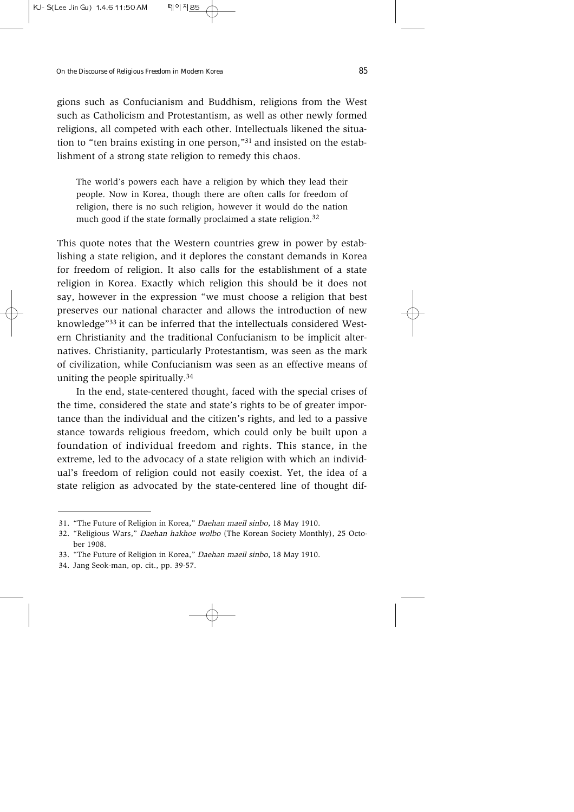gions such as Confucianism and Buddhism, religions from the West such as Catholicism and Protestantism, as well as other newly formed religions, all competed with each other. Intellectuals likened the situation to "ten brains existing in one person,"<sup>31</sup> and insisted on the establishment of a strong state religion to remedy this chaos.

The world's powers each have a religion by which they lead their people. Now in Korea, though there are often calls for freedom of religion, there is no such religion, however it would do the nation much good if the state formally proclaimed a state religion.<sup>32</sup>

This quote notes that the Western countries grew in power by establishing a state religion, and it deplores the constant demands in Korea for freedom of religion. It also calls for the establishment of a state religion in Korea. Exactly which religion this should be it does not say, however in the expression "we must choose a religion that best preserves our national character and allows the introduction of new knowledge"33 it can be inferred that the intellectuals considered Western Christianity and the traditional Confucianism to be implicit alternatives. Christianity, particularly Protestantism, was seen as the mark of civilization, while Confucianism was seen as an effective means of uniting the people spiritually.34

In the end, state-centered thought, faced with the special crises of the time, considered the state and state's rights to be of greater importance than the individual and the citizen's rights, and led to a passive stance towards religious freedom, which could only be built upon a foundation of individual freedom and rights. This stance, in the extreme, led to the advocacy of a state religion with which an individual's freedom of religion could not easily coexist. Yet, the idea of a state religion as advocated by the state-centered line of thought dif-

<sup>31. &</sup>quot;The Future of Religion in Korea," Daehan maeil sinbo, 18 May 1910.

<sup>32. &</sup>quot;Religious Wars," Daehan hakhoe wolbo (The Korean Society Monthly), 25 October 1908.

<sup>33. &</sup>quot;The Future of Religion in Korea," Daehan maeil sinbo, 18 May 1910.

<sup>34.</sup> Jang Seok-man, op. cit., pp. 39-57.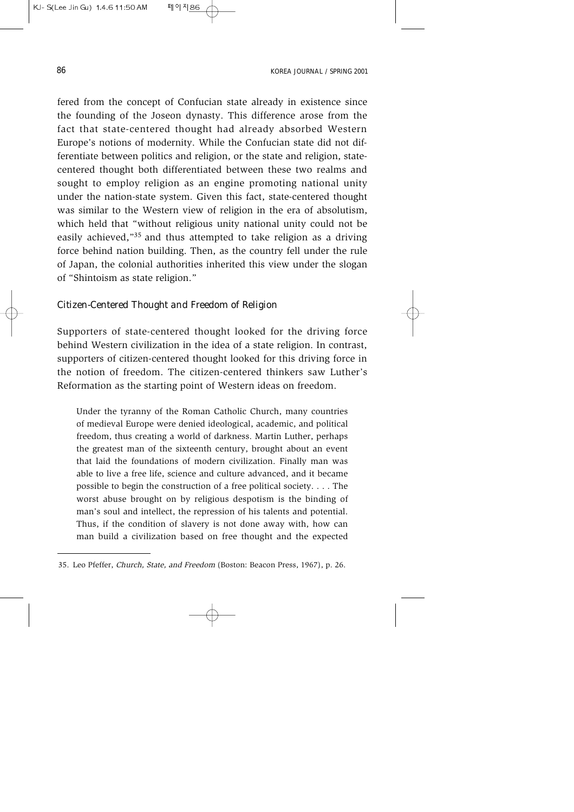fered from the concept of Confucian state already in existence since the founding of the Joseon dynasty. This difference arose from the fact that state-centered thought had already absorbed Western Europe's notions of modernity. While the Confucian state did not differentiate between politics and religion, or the state and religion, statecentered thought both differentiated between these two realms and sought to employ religion as an engine promoting national unity under the nation-state system. Given this fact, state-centered thought was similar to the Western view of religion in the era of absolutism, which held that "without religious unity national unity could not be easily achieved,"35 and thus attempted to take religion as a driving force behind nation building. Then, as the country fell under the rule of Japan, the colonial authorities inherited this view under the slogan of "Shintoism as state religion."

## *Citizen-Centered Thought and Freedom of Religion*

Supporters of state-centered thought looked for the driving force behind Western civilization in the idea of a state religion. In contrast, supporters of citizen-centered thought looked for this driving force in the notion of freedom. The citizen-centered thinkers saw Luther's Reformation as the starting point of Western ideas on freedom.

Under the tyranny of the Roman Catholic Church, many countries of medieval Europe were denied ideological, academic, and political freedom, thus creating a world of darkness. Martin Luther, perhaps the greatest man of the sixteenth century, brought about an event that laid the foundations of modern civilization. Finally man was able to live a free life, science and culture advanced, and it became possible to begin the construction of a free political society. . . . The worst abuse brought on by religious despotism is the binding of man's soul and intellect, the repression of his talents and potential. Thus, if the condition of slavery is not done away with, how can man build a civilization based on free thought and the expected

<sup>35.</sup> Leo Pfeffer, Church, State, and Freedom (Boston: Beacon Press, 1967), p. 26.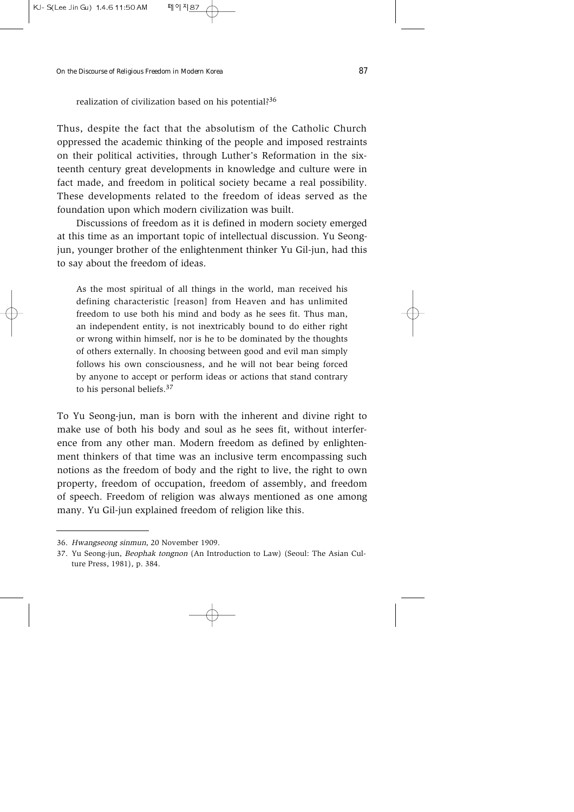realization of civilization based on his potential?<sup>36</sup>

Thus, despite the fact that the absolutism of the Catholic Church oppressed the academic thinking of the people and imposed restraints on their political activities, through Luther's Reformation in the sixteenth century great developments in knowledge and culture were in fact made, and freedom in political society became a real possibility. These developments related to the freedom of ideas served as the foundation upon which modern civilization was built.

Discussions of freedom as it is defined in modern society emerged at this time as an important topic of intellectual discussion. Yu Seongjun, younger brother of the enlightenment thinker Yu Gil-jun, had this to say about the freedom of ideas.

As the most spiritual of all things in the world, man received his defining characteristic [reason] from Heaven and has unlimited freedom to use both his mind and body as he sees fit. Thus man, an independent entity, is not inextricably bound to do either right or wrong within himself, nor is he to be dominated by the thoughts of others externally. In choosing between good and evil man simply follows his own consciousness, and he will not bear being forced by anyone to accept or perform ideas or actions that stand contrary to his personal beliefs.37

To Yu Seong-jun, man is born with the inherent and divine right to make use of both his body and soul as he sees fit, without interference from any other man. Modern freedom as defined by enlightenment thinkers of that time was an inclusive term encompassing such notions as the freedom of body and the right to live, the right to own property, freedom of occupation, freedom of assembly, and freedom of speech. Freedom of religion was always mentioned as one among many. Yu Gil-jun explained freedom of religion like this.

<sup>36.</sup> Hwangseong sinmun, 20 November 1909.

<sup>37.</sup> Yu Seong-jun, Beophak tongnon (An Introduction to Law) (Seoul: The Asian Culture Press, 1981), p. 384.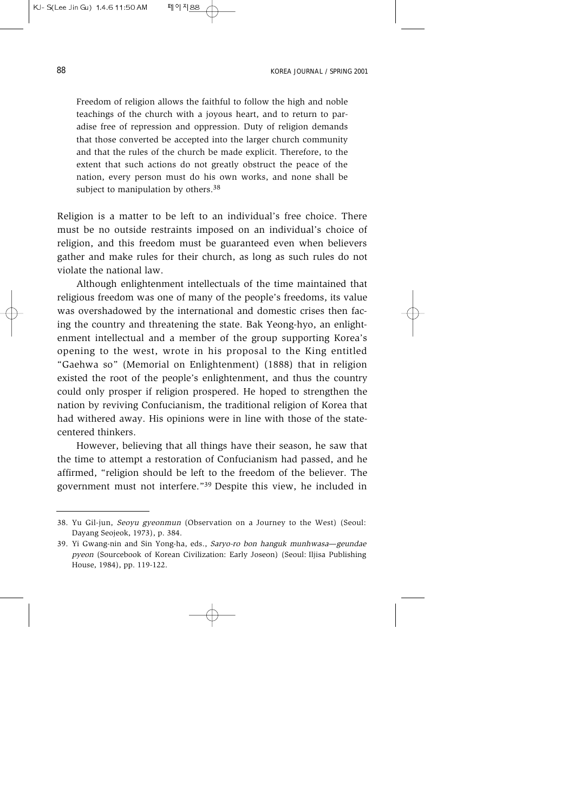Freedom of religion allows the faithful to follow the high and noble teachings of the church with a joyous heart, and to return to paradise free of repression and oppression. Duty of religion demands that those converted be accepted into the larger church community and that the rules of the church be made explicit. Therefore, to the extent that such actions do not greatly obstruct the peace of the nation, every person must do his own works, and none shall be subject to manipulation by others.<sup>38</sup>

Religion is a matter to be left to an individual's free choice. There must be no outside restraints imposed on an individual's choice of religion, and this freedom must be guaranteed even when believers gather and make rules for their church, as long as such rules do not violate the national law.

Although enlightenment intellectuals of the time maintained that religious freedom was one of many of the people's freedoms, its value was overshadowed by the international and domestic crises then facing the country and threatening the state. Bak Yeong-hyo, an enlightenment intellectual and a member of the group supporting Korea's opening to the west, wrote in his proposal to the King entitled "Gaehwa so" (Memorial on Enlightenment) (1888) that in religion existed the root of the people's enlightenment, and thus the country could only prosper if religion prospered. He hoped to strengthen the nation by reviving Confucianism, the traditional religion of Korea that had withered away. His opinions were in line with those of the statecentered thinkers.

However, believing that all things have their season, he saw that the time to attempt a restoration of Confucianism had passed, and he affirmed, "religion should be left to the freedom of the believer. The government must not interfere."39 Despite this view, he included in

<sup>38.</sup> Yu Gil-jun, Seoyu gyeonmun (Observation on a Journey to the West) (Seoul: Dayang Seojeok, 1973), p. 384.

<sup>39.</sup> Yi Gwang-nin and Sin Yong-ha, eds., Saryo-ro bon hanguk munhwasa—geundae pyeon (Sourcebook of Korean Civilization: Early Joseon) (Seoul: Iljisa Publishing House, 1984), pp. 119-122.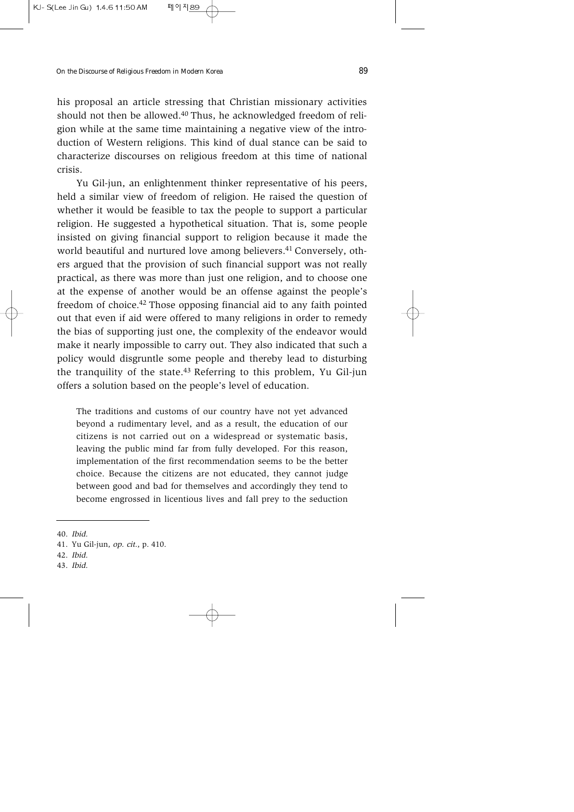his proposal an article stressing that Christian missionary activities should not then be allowed.<sup>40</sup> Thus, he acknowledged freedom of religion while at the same time maintaining a negative view of the introduction of Western religions. This kind of dual stance can be said to characterize discourses on religious freedom at this time of national crisis.

Yu Gil-jun, an enlightenment thinker representative of his peers, held a similar view of freedom of religion. He raised the question of whether it would be feasible to tax the people to support a particular religion. He suggested a hypothetical situation. That is, some people insisted on giving financial support to religion because it made the world beautiful and nurtured love among believers.<sup>41</sup> Conversely, others argued that the provision of such financial support was not really practical, as there was more than just one religion, and to choose one at the expense of another would be an offense against the people's freedom of choice.42 Those opposing financial aid to any faith pointed out that even if aid were offered to many religions in order to remedy the bias of supporting just one, the complexity of the endeavor would make it nearly impossible to carry out. They also indicated that such a policy would disgruntle some people and thereby lead to disturbing the tranquility of the state.43 Referring to this problem, Yu Gil-jun offers a solution based on the people's level of education.

The traditions and customs of our country have not yet advanced beyond a rudimentary level, and as a result, the education of our citizens is not carried out on a widespread or systematic basis, leaving the public mind far from fully developed. For this reason, implementation of the first recommendation seems to be the better choice. Because the citizens are not educated, they cannot judge between good and bad for themselves and accordingly they tend to become engrossed in licentious lives and fall prey to the seduction

- 42. Ibid.
- 43. Ibid.

<sup>40.</sup> Ibid.

<sup>41.</sup> Yu Gil-jun, op. cit., p. 410.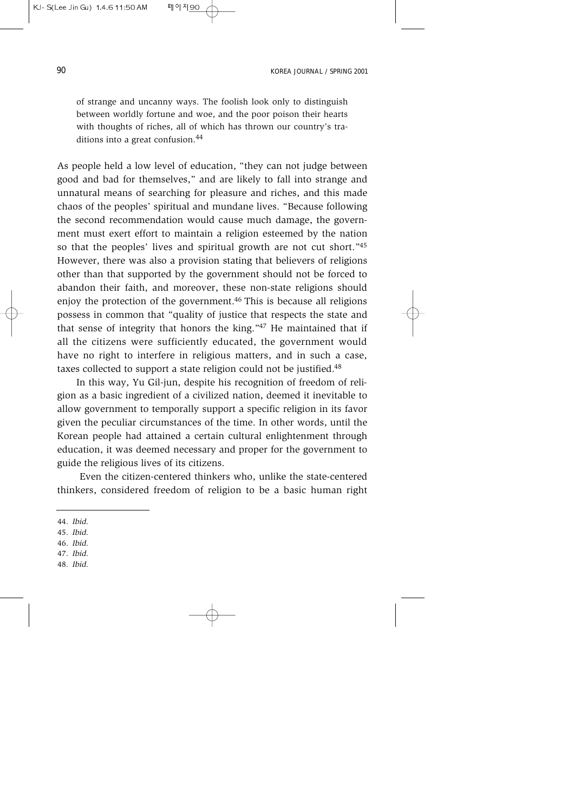of strange and uncanny ways. The foolish look only to distinguish between worldly fortune and woe, and the poor poison their hearts with thoughts of riches, all of which has thrown our country's traditions into a great confusion.44

As people held a low level of education, "they can not judge between good and bad for themselves," and are likely to fall into strange and unnatural means of searching for pleasure and riches, and this made chaos of the peoples' spiritual and mundane lives. "Because following the second recommendation would cause much damage, the government must exert effort to maintain a religion esteemed by the nation so that the peoples' lives and spiritual growth are not cut short."45 However, there was also a provision stating that believers of religions other than that supported by the government should not be forced to abandon their faith, and moreover, these non-state religions should enjoy the protection of the government.46 This is because all religions possess in common that "quality of justice that respects the state and that sense of integrity that honors the king."47 He maintained that if all the citizens were sufficiently educated, the government would have no right to interfere in religious matters, and in such a case, taxes collected to support a state religion could not be justified.<sup>48</sup>

In this way, Yu Gil-jun, despite his recognition of freedom of religion as a basic ingredient of a civilized nation, deemed it inevitable to allow government to temporally support a specific religion in its favor given the peculiar circumstances of the time. In other words, until the Korean people had attained a certain cultural enlightenment through education, it was deemed necessary and proper for the government to guide the religious lives of its citizens.

Even the citizen-centered thinkers who, unlike the state-centered thinkers, considered freedom of religion to be a basic human right

- 46. Ibid.
- 47. Ibid.
- 48. Ibid.

<sup>44.</sup> Ibid.

<sup>45.</sup> Ibid.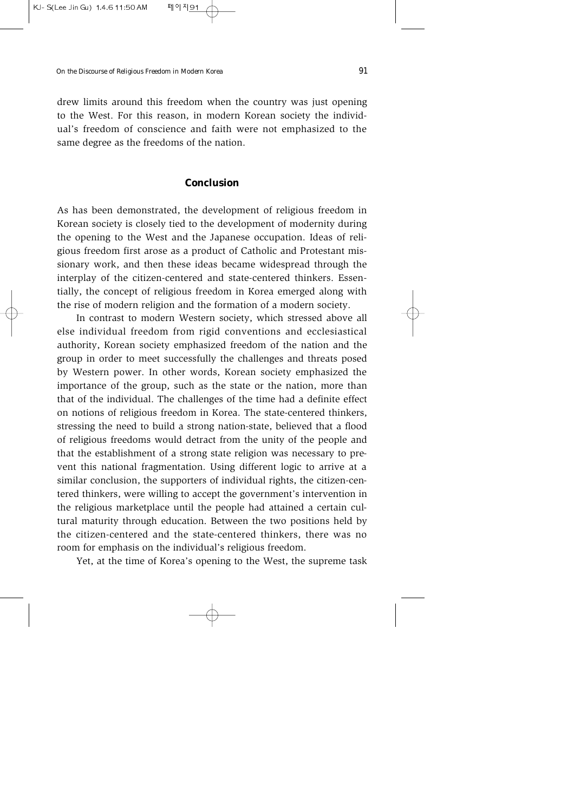drew limits around this freedom when the country was just opening to the West. For this reason, in modern Korean society the individual's freedom of conscience and faith were not emphasized to the same degree as the freedoms of the nation.

#### **Conclusion**

As has been demonstrated, the development of religious freedom in Korean society is closely tied to the development of modernity during the opening to the West and the Japanese occupation. Ideas of religious freedom first arose as a product of Catholic and Protestant missionary work, and then these ideas became widespread through the interplay of the citizen-centered and state-centered thinkers. Essentially, the concept of religious freedom in Korea emerged along with the rise of modern religion and the formation of a modern society.

In contrast to modern Western society, which stressed above all else individual freedom from rigid conventions and ecclesiastical authority, Korean society emphasized freedom of the nation and the group in order to meet successfully the challenges and threats posed by Western power. In other words, Korean society emphasized the importance of the group, such as the state or the nation, more than that of the individual. The challenges of the time had a definite effect on notions of religious freedom in Korea. The state-centered thinkers, stressing the need to build a strong nation-state, believed that a flood of religious freedoms would detract from the unity of the people and that the establishment of a strong state religion was necessary to prevent this national fragmentation. Using different logic to arrive at a similar conclusion, the supporters of individual rights, the citizen-centered thinkers, were willing to accept the government's intervention in the religious marketplace until the people had attained a certain cultural maturity through education. Between the two positions held by the citizen-centered and the state-centered thinkers, there was no room for emphasis on the individual's religious freedom.

Yet, at the time of Korea's opening to the West, the supreme task